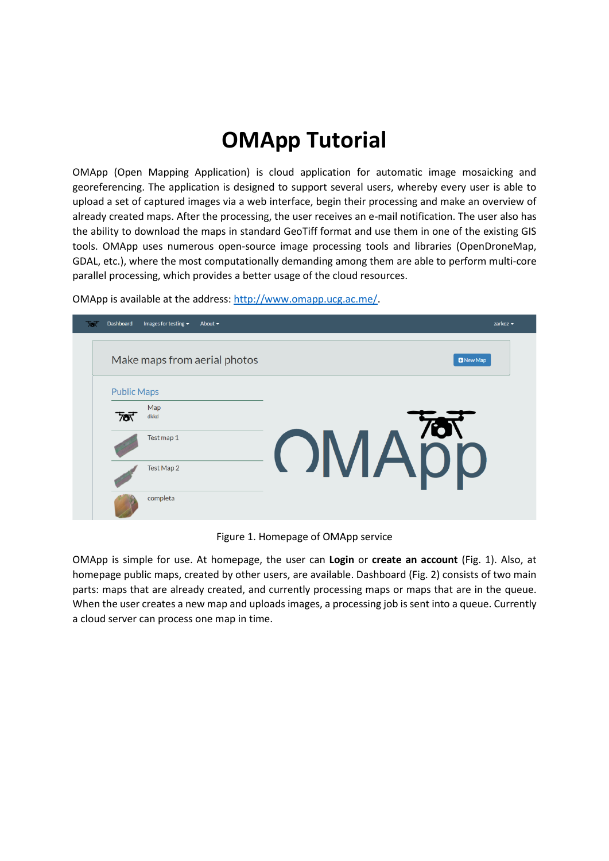## **OMApp Tutorial**

OMApp (Open Mapping Application) is cloud application for automatic image mosaicking and georeferencing. The application is designed to support several users, whereby every user is able to upload a set of captured images via a web interface, begin their processing and make an overview of already created maps. After the processing, the user receives an e-mail notification. The user also has the ability to download the maps in standard GeoTiff format and use them in one of the existing GIS tools. OMApp uses numerous open-source image processing tools and libraries (OpenDroneMap, GDAL, etc.), where the most computationally demanding among them are able to perform multi-core parallel processing, which provides a better usage of the cloud resources.

| 787 | Dashboard          | Images for testing $\sim$ | About $\sim$                 |  |  |  |    |                  | zarkoz $\sim$ |  |
|-----|--------------------|---------------------------|------------------------------|--|--|--|----|------------------|---------------|--|
|     |                    |                           | Make maps from aerial photos |  |  |  |    | <b>D</b> New Map |               |  |
|     | <b>Public Maps</b> |                           |                              |  |  |  |    |                  |               |  |
|     | 78                 | Map<br>dkkd               |                              |  |  |  |    |                  |               |  |
|     |                    | Test map 1                |                              |  |  |  | 76 | OMApp            |               |  |
|     |                    | Test Map 2                |                              |  |  |  |    |                  |               |  |
|     |                    | completa                  |                              |  |  |  |    |                  |               |  |

OMApp is available at the address[: http://www.omapp.ucg.ac.me/.](http://www.omapp.ucg.ac.me/)

Figure 1. Homepage of OMApp service

OMApp is simple for use. At homepage, the user can **Login** or **create an account** (Fig. 1). Also, at homepage public maps, created by other users, are available. Dashboard (Fig. 2) consists of two main parts: maps that are already created, and currently processing maps or maps that are in the queue. When the user creates a new map and uploads images, a processing job is sent into a queue. Currently a cloud server can process one map in time.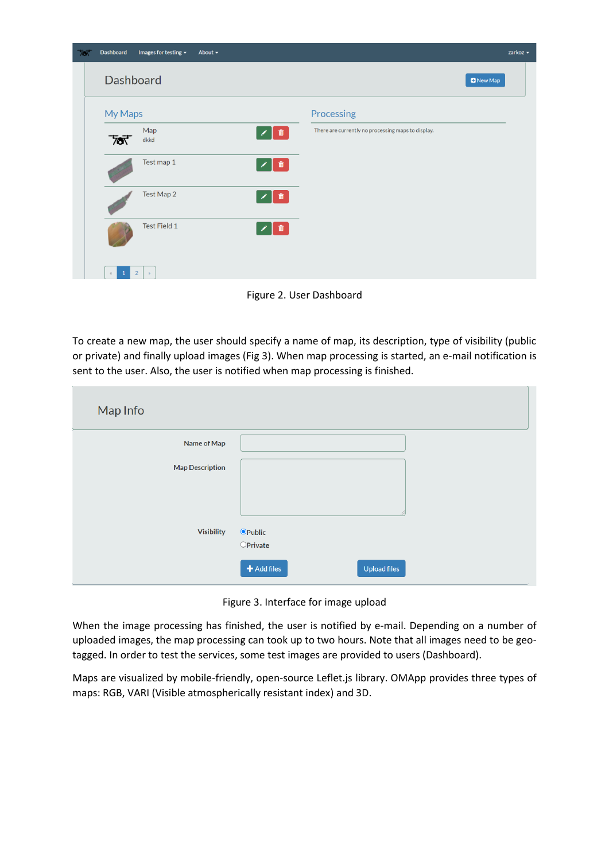| ᠯᢐᡕ | <b>Dashboard</b>      | Images for testing $\blacktriangledown$ | About $\sim$ |                                               |                                                    | zarkoz $\sim$    |
|-----|-----------------------|-----------------------------------------|--------------|-----------------------------------------------|----------------------------------------------------|------------------|
|     |                       | Dashboard                               |              |                                               |                                                    | <b>D</b> New Map |
|     | My Maps               |                                         |              |                                               | Processing                                         |                  |
|     | <b>কি</b>             | Map<br>dkkd                             |              | ▌ <sup>而</sup><br>∕                           | There are currently no processing maps to display. |                  |
|     |                       | Test map 1                              |              | ▌ <sup> </sup><br>$\mathcal{S}_{\mathcal{A}}$ |                                                    |                  |
|     |                       | Test Map 2                              |              | $\sqrt{a}$<br>$\mathcal{S}_{\mathcal{S}}$     |                                                    |                  |
|     |                       | Test Field 1                            |              | $\sqrt{a}$<br>×                               |                                                    |                  |
|     | $\mathbf{1}$<br>$\ll$ | $\vert$ 2<br>$\longrightarrow$          |              |                                               |                                                    |                  |

Figure 2. User Dashboard

To create a new map, the user should specify a name of map, its description, type of visibility (public or private) and finally upload images (Fig 3). When map processing is started, an e-mail notification is sent to the user. Also, the user is notified when map processing is finished.

| Map Info               |                                                     |
|------------------------|-----------------------------------------------------|
| Name of Map            |                                                     |
| <b>Map Description</b> |                                                     |
|                        |                                                     |
| <b>Visibility</b>      | <b>O</b> Public                                     |
|                        | $O$ Private<br>$\bigstar$ Add files<br>Upload files |

Figure 3. Interface for image upload

When the image processing has finished, the user is notified by e-mail. Depending on a number of uploaded images, the map processing can took up to two hours. Note that all images need to be geotagged. In order to test the services, some test images are provided to users (Dashboard).

Maps are visualized by mobile-friendly, open-source Leflet.js library. OMApp provides three types of maps: RGB, VARI (Visible atmospherically resistant index) and 3D.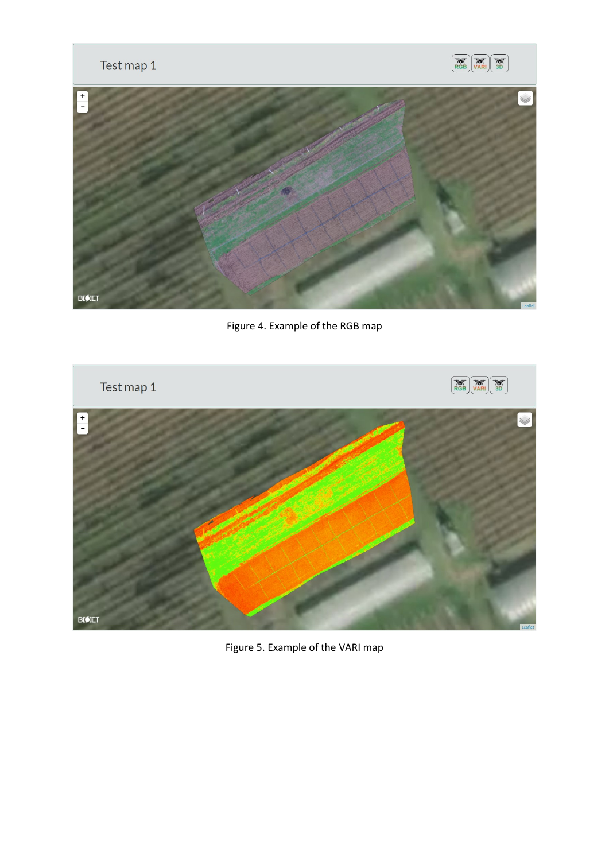

Figure 4. Example of the RGB map



Figure 5. Example of the VARI map